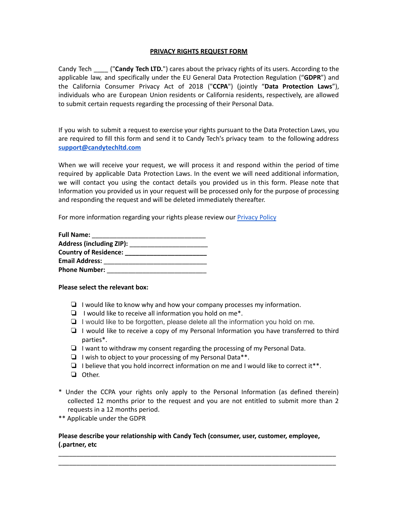### **PRIVACY RIGHTS REQUEST FORM**

Candy Tech \_\_\_\_ ("**Candy Tech LTD.**") cares about the privacy rights of its users. According to the applicable law, and specifically under the EU General Data Protection Regulation ("**GDPR**") and the California Consumer Privacy Act of 2018 ("**CCPA**") (jointly "**Data Protection Laws**"), individuals who are European Union residents or California residents, respectively, are allowed to submit certain requests regarding the processing of their Personal Data.

If you wish to submit a request to exercise your rights pursuant to the Data Protection Laws, you are required to fill this form and send it to Candy Tech's privacy team to the following address **[support@candytechltd.com](mailto:support@candytechltd.com)**

When we will receive your request, we will process it and respond within the period of time required by applicable Data Protection Laws. In the event we will need additional information, we will contact you using the contact details you provided us in this form. Please note that Information you provided us in your request will be processed only for the purpose of processing and responding the request and will be deleted immediately thereafter.

For more information regarding your rights please review our [Privacy](https://www.screensrecorder.com/privacy.html) Policy

| <b>Full Name:</b>               |  |
|---------------------------------|--|
| <b>Address (including ZIP):</b> |  |
| <b>Country of Residence:</b>    |  |
| <b>Email Address:</b>           |  |
| <b>Phone Number:</b>            |  |

#### **Please select the relevant box:**

- ❏ I would like to know why and how your company processes my information.
- ❏ I would like to receive all information you hold on me\*.
- ❏ I would like to be forgotten, please delete all the information you hold on me.
- ❏ I would like to receive a copy of my Personal Information you have transferred to third parties\*.
- ❏ I want to withdraw my consent regarding the processing of my Personal Data.
- ❏ I wish to object to your processing of my Personal Data\*\*.
- $\Box$  I believe that you hold incorrect information on me and I would like to correct it\*\*.
- ❏ Other.
- \* Under the CCPA your rights only apply to the Personal Information (as defined therein) collected 12 months prior to the request and you are not entitled to submit more than 2 requests in a 12 months period.
- \*\* Applicable under the GDPR

# **Please describe your relationship with Candy Tech (consumer, user, customer, employee, ).partner, etc**

\_\_\_\_\_\_\_\_\_\_\_\_\_\_\_\_\_\_\_\_\_\_\_\_\_\_\_\_\_\_\_\_\_\_\_\_\_\_\_\_\_\_\_\_\_\_\_\_\_\_\_\_\_\_\_\_\_\_\_\_\_\_\_\_\_\_\_\_\_\_\_\_\_\_\_\_\_\_ \_\_\_\_\_\_\_\_\_\_\_\_\_\_\_\_\_\_\_\_\_\_\_\_\_\_\_\_\_\_\_\_\_\_\_\_\_\_\_\_\_\_\_\_\_\_\_\_\_\_\_\_\_\_\_\_\_\_\_\_\_\_\_\_\_\_\_\_\_\_\_\_\_\_\_\_\_\_